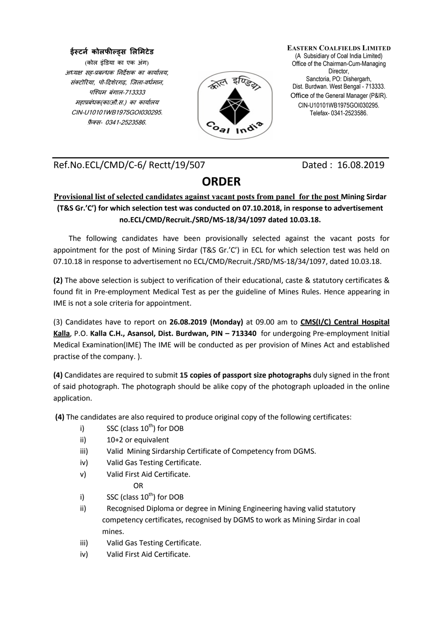## **ईस्टने कोलफील्ड्स लिमिटेड**

(कोल इंडया का एक अंग) अध्यक्ष सह-प्रबन्धक निर्देशक का कार्यालय. संक्टोरिया, पो-दिशेरगढ़, जिला-वर्धमान, पश्चिम बंगाल-713333 महाबंधक(का/औ.स.) का कायालय CIN-U10101WB1975GOI030295. फ़ैक्स- 0341-2523586.



**EASTERN COALFIELDS LIMITED** (A Subsidiary of Coal India Limited) Office of the Chairman-Cum-Managing Director, Sanctoria, PO: Dishergarh, Dist. Burdwan. West Bengal - 713333. Office of the General Manager (P&IR). CIN-U10101WB1975GOI030295. Telefax- 0341-2523586.

Ref.No.ECL/CMD/C-6/ Rectt/19/507 Dated : 16.08.2019

## **ORDER**

## **Provisional list of selected candidates against vacant posts from panel for the post Mining Sirdar (T&S Gr.'C') for which selection test was conducted on 07.10.2018, in response to advertisement no.ECL/CMD/Recruit./SRD/MS-18/34/1097 dated 10.03.18.**

The following candidates have been provisionally selected against the vacant posts for appointment for the post of Mining Sirdar (T&S Gr.'C') in ECL for which selection test was held on 07.10.18 in response to advertisement no ECL/CMD/Recruit./SRD/MS-18/34/1097, dated 10.03.18.

**(2)** The above selection is subject to verification of their educational, caste & statutory certificates & found fit in Pre-employment Medical Test as per the guideline of Mines Rules. Hence appearing in IME is not a sole criteria for appointment.

(3) Candidates have to report on **26.08.2019 (Monday)** at 09.00 am to **CMS(I/C) Central Hospital Kalla**, P.O. **Kalla C.H., Asansol, Dist. Burdwan, PIN – 713340** for undergoing Pre-employment Initial Medical Examination(IME) The IME will be conducted as per provision of Mines Act and established practise of the company. ).

**(4)** Candidates are required to submit **15 copies of passport size photographs** duly signed in the front of said photograph. The photograph should be alike copy of the photograph uploaded in the online application.

 **(4)** The candidates are also required to produce original copy of the following certificates:

- i) SSC (class  $10^{th}$ ) for DOB
- ii) 10+2 or equivalent
- iii) Valid Mining Sirdarship Certificate of Competency from DGMS.
- iv) Valid Gas Testing Certificate.
- v) Valid First Aid Certificate. O<sub>D</sub>
- i) SSC (class  $10^{th}$ ) for DOB
- ii) Recognised Diploma or degree in Mining Engineering having valid statutory competency certificates, recognised by DGMS to work as Mining Sirdar in coal mines.
- iii) Valid Gas Testing Certificate.
- iv) Valid First Aid Certificate.